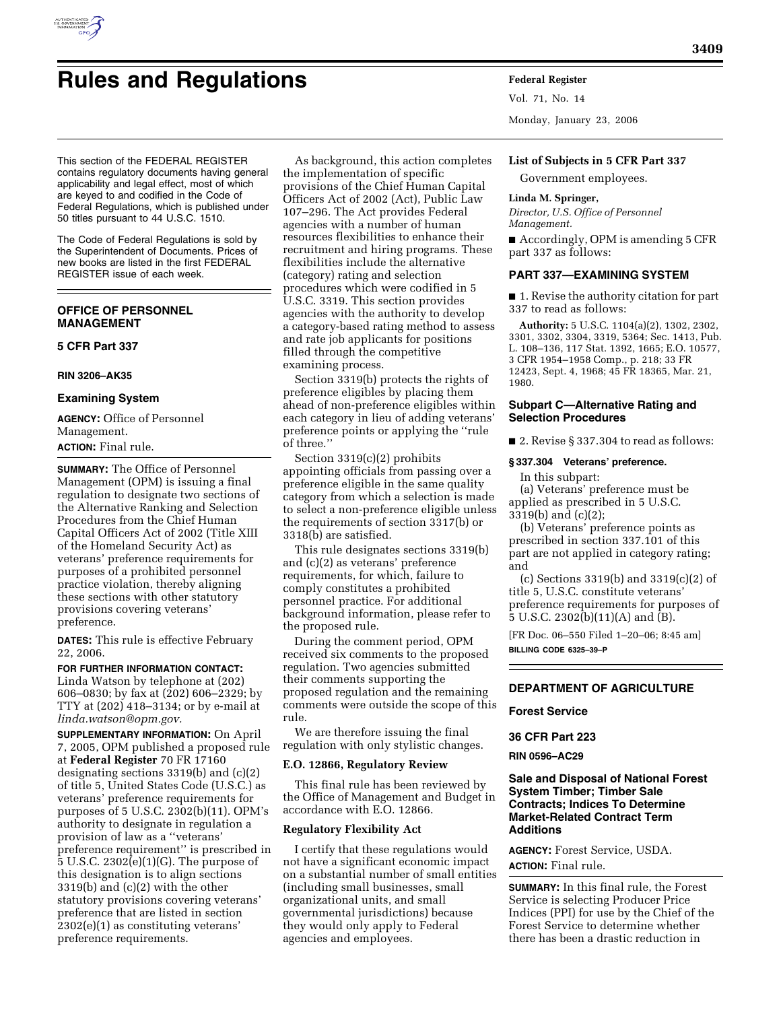

# **Rules and Regulations Federal Register**

Vol. 71, No. 14

Monday, January 23, 2006

#### **List of Subjects in 5 CFR Part 337**

Government employees.

#### **Linda M. Springer,**

*Director, U.S. Office of Personnel Management.* 

■ Accordingly, OPM is amending 5 CFR part 337 as follows:

## **PART 337—EXAMINING SYSTEM**

■ 1. Revise the authority citation for part 337 to read as follows:

**Authority:** 5 U.S.C. 1104(a)(2), 1302, 2302, 3301, 3302, 3304, 3319, 5364; Sec. 1413, Pub. L. 108–136, 117 Stat. 1392, 1665; E.O. 10577, 3 CFR 1954–1958 Comp., p. 218; 33 FR 12423, Sept. 4, 1968; 45 FR 18365, Mar. 21, 1980.

## **Subpart C—Alternative Rating and Selection Procedures**

■ 2. Revise § 337.304 to read as follows:

# **§ 337.304 Veterans' preference.**

In this subpart: (a) Veterans' preference must be applied as prescribed in 5 U.S.C.

3319(b) and (c)(2);

(b) Veterans' preference points as prescribed in section 337.101 of this part are not applied in category rating; and

(c) Sections 3319(b) and 3319(c)(2) of title 5, U.S.C. constitute veterans' preference requirements for purposes of 5 U.S.C. 2302(b)(11)(A) and (B).

[FR Doc. 06–550 Filed 1–20–06; 8:45 am] **BILLING CODE 6325–39–P** 

# **DEPARTMENT OF AGRICULTURE**

## **Forest Service**

**36 CFR Part 223** 

**RIN 0596–AC29** 

# **Sale and Disposal of National Forest System Timber; Timber Sale Contracts; Indices To Determine Market-Related Contract Term Additions**

**AGENCY:** Forest Service, USDA. **ACTION:** Final rule.

**SUMMARY:** In this final rule, the Forest Service is selecting Producer Price Indices (PPI) for use by the Chief of the Forest Service to determine whether there has been a drastic reduction in

This section of the FEDERAL REGISTER contains regulatory documents having general applicability and legal effect, most of which are keyed to and codified in the Code of Federal Regulations, which is published under 50 titles pursuant to 44 U.S.C. 1510.

The Code of Federal Regulations is sold by the Superintendent of Documents. Prices of new books are listed in the first FEDERAL REGISTER issue of each week.

# **OFFICE OF PERSONNEL MANAGEMENT**

# **5 CFR Part 337**

### **RIN 3206–AK35**

### **Examining System**

**AGENCY:** Office of Personnel Management. **ACTION:** Final rule.

**SUMMARY:** The Office of Personnel Management (OPM) is issuing a final regulation to designate two sections of the Alternative Ranking and Selection Procedures from the Chief Human Capital Officers Act of 2002 (Title XIII of the Homeland Security Act) as veterans' preference requirements for purposes of a prohibited personnel practice violation, thereby aligning these sections with other statutory provisions covering veterans' preference.

**DATES:** This rule is effective February 22, 2006.

# **FOR FURTHER INFORMATION CONTACT:**

Linda Watson by telephone at (202) 606–0830; by fax at (202) 606–2329; by TTY at (202) 418–3134; or by e-mail at *linda.watson@opm.gov.* 

**SUPPLEMENTARY INFORMATION:** On April 7, 2005, OPM published a proposed rule at **Federal Register** 70 FR 17160 designating sections 3319(b) and (c)(2) of title 5, United States Code (U.S.C.) as veterans' preference requirements for purposes of 5 U.S.C. 2302(b)(11). OPM's authority to designate in regulation a provision of law as a ''veterans' preference requirement'' is prescribed in 5 U.S.C. 2302(e)(1)(G). The purpose of this designation is to align sections 3319(b) and (c)(2) with the other statutory provisions covering veterans' preference that are listed in section 2302(e)(1) as constituting veterans' preference requirements.

As background, this action completes the implementation of specific provisions of the Chief Human Capital Officers Act of 2002 (Act), Public Law 107–296. The Act provides Federal agencies with a number of human resources flexibilities to enhance their recruitment and hiring programs. These flexibilities include the alternative (category) rating and selection procedures which were codified in 5 U.S.C. 3319. This section provides agencies with the authority to develop a category-based rating method to assess and rate job applicants for positions filled through the competitive examining process.

Section 3319(b) protects the rights of preference eligibles by placing them ahead of non-preference eligibles within each category in lieu of adding veterans' preference points or applying the ''rule of three.''

Section 3319(c)(2) prohibits appointing officials from passing over a preference eligible in the same quality category from which a selection is made to select a non-preference eligible unless the requirements of section 3317(b) or 3318(b) are satisfied.

This rule designates sections 3319(b) and (c)(2) as veterans' preference requirements, for which, failure to comply constitutes a prohibited personnel practice. For additional background information, please refer to the proposed rule.

During the comment period, OPM received six comments to the proposed regulation. Two agencies submitted their comments supporting the proposed regulation and the remaining comments were outside the scope of this rule.

We are therefore issuing the final regulation with only stylistic changes.

# **E.O. 12866, Regulatory Review**

This final rule has been reviewed by the Office of Management and Budget in accordance with E.O. 12866.

## **Regulatory Flexibility Act**

I certify that these regulations would not have a significant economic impact on a substantial number of small entities (including small businesses, small organizational units, and small governmental jurisdictions) because they would only apply to Federal agencies and employees.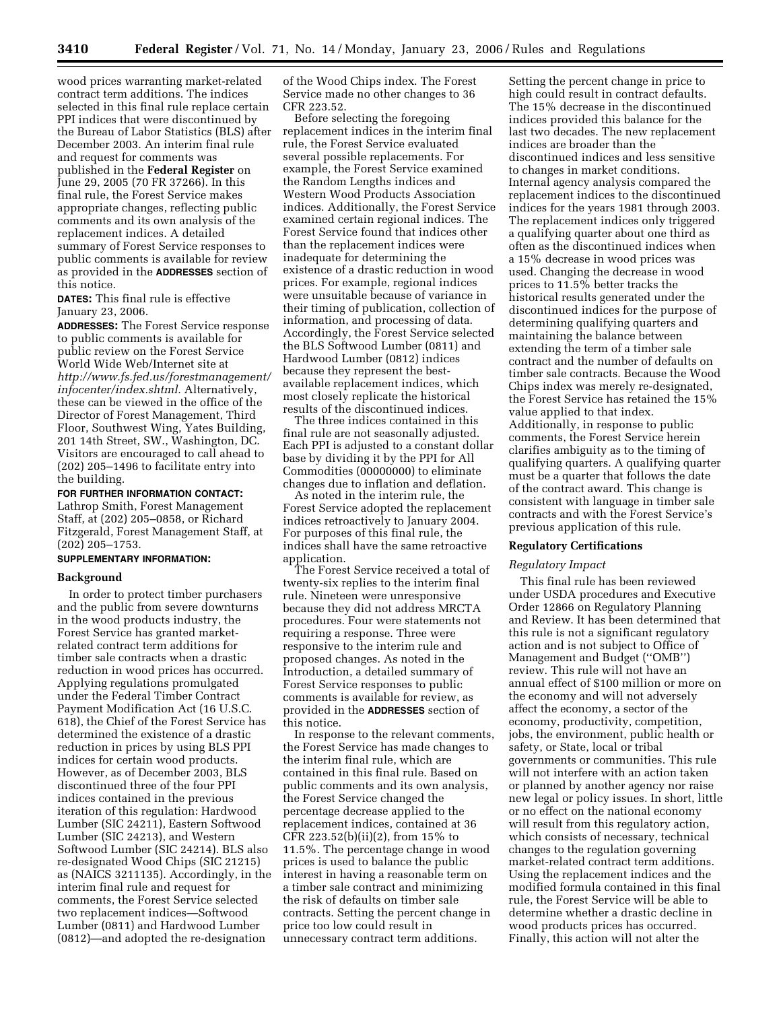wood prices warranting market-related contract term additions. The indices selected in this final rule replace certain PPI indices that were discontinued by the Bureau of Labor Statistics (BLS) after December 2003. An interim final rule and request for comments was published in the **Federal Register** on June 29, 2005 (70 FR 37266). In this final rule, the Forest Service makes appropriate changes, reflecting public comments and its own analysis of the replacement indices. A detailed summary of Forest Service responses to public comments is available for review as provided in the **ADDRESSES** section of this notice.

**DATES:** This final rule is effective January 23, 2006.

**ADDRESSES:** The Forest Service response to public comments is available for public review on the Forest Service World Wide Web/Internet site at *http://www.fs.fed.us/forestmanagement/ infocenter/index.shtml.* Alternatively, these can be viewed in the office of the Director of Forest Management, Third Floor, Southwest Wing, Yates Building, 201 14th Street, SW., Washington, DC. Visitors are encouraged to call ahead to (202) 205–1496 to facilitate entry into the building.

#### **FOR FURTHER INFORMATION CONTACT:**

Lathrop Smith, Forest Management Staff, at (202) 205–0858, or Richard Fitzgerald, Forest Management Staff, at (202) 205–1753.

# **SUPPLEMENTARY INFORMATION:**

#### **Background**

In order to protect timber purchasers and the public from severe downturns in the wood products industry, the Forest Service has granted marketrelated contract term additions for timber sale contracts when a drastic reduction in wood prices has occurred. Applying regulations promulgated under the Federal Timber Contract Payment Modification Act (16 U.S.C. 618), the Chief of the Forest Service has determined the existence of a drastic reduction in prices by using BLS PPI indices for certain wood products. However, as of December 2003, BLS discontinued three of the four PPI indices contained in the previous iteration of this regulation: Hardwood Lumber (SIC 24211), Eastern Softwood Lumber (SIC 24213), and Western Softwood Lumber (SIC 24214). BLS also re-designated Wood Chips (SIC 21215) as (NAICS 3211135). Accordingly, in the interim final rule and request for comments, the Forest Service selected two replacement indices—Softwood Lumber (0811) and Hardwood Lumber (0812)—and adopted the re-designation

of the Wood Chips index. The Forest Service made no other changes to 36 CFR 223.52.

Before selecting the foregoing replacement indices in the interim final rule, the Forest Service evaluated several possible replacements. For example, the Forest Service examined the Random Lengths indices and Western Wood Products Association indices. Additionally, the Forest Service examined certain regional indices. The Forest Service found that indices other than the replacement indices were inadequate for determining the existence of a drastic reduction in wood prices. For example, regional indices were unsuitable because of variance in their timing of publication, collection of information, and processing of data. Accordingly, the Forest Service selected the BLS Softwood Lumber (0811) and Hardwood Lumber (0812) indices because they represent the bestavailable replacement indices, which most closely replicate the historical results of the discontinued indices.

The three indices contained in this final rule are not seasonally adjusted. Each PPI is adjusted to a constant dollar base by dividing it by the PPI for All Commodities (00000000) to eliminate changes due to inflation and deflation.

As noted in the interim rule, the Forest Service adopted the replacement indices retroactively to January 2004. For purposes of this final rule, the indices shall have the same retroactive application.

The Forest Service received a total of twenty-six replies to the interim final rule. Nineteen were unresponsive because they did not address MRCTA procedures. Four were statements not requiring a response. Three were responsive to the interim rule and proposed changes. As noted in the Introduction, a detailed summary of Forest Service responses to public comments is available for review, as provided in the **ADDRESSES** section of this notice.

In response to the relevant comments, the Forest Service has made changes to the interim final rule, which are contained in this final rule. Based on public comments and its own analysis, the Forest Service changed the percentage decrease applied to the replacement indices, contained at 36 CFR 223.52(b)(ii)(2), from 15% to 11.5%. The percentage change in wood prices is used to balance the public interest in having a reasonable term on a timber sale contract and minimizing the risk of defaults on timber sale contracts. Setting the percent change in price too low could result in unnecessary contract term additions.

Setting the percent change in price to high could result in contract defaults. The 15% decrease in the discontinued indices provided this balance for the last two decades. The new replacement indices are broader than the discontinued indices and less sensitive to changes in market conditions. Internal agency analysis compared the replacement indices to the discontinued indices for the years 1981 through 2003. The replacement indices only triggered a qualifying quarter about one third as often as the discontinued indices when a 15% decrease in wood prices was used. Changing the decrease in wood prices to 11.5% better tracks the historical results generated under the discontinued indices for the purpose of determining qualifying quarters and maintaining the balance between extending the term of a timber sale contract and the number of defaults on timber sale contracts. Because the Wood Chips index was merely re-designated, the Forest Service has retained the 15% value applied to that index. Additionally, in response to public comments, the Forest Service herein clarifies ambiguity as to the timing of qualifying quarters. A qualifying quarter must be a quarter that follows the date of the contract award. This change is consistent with language in timber sale contracts and with the Forest Service's previous application of this rule.

#### **Regulatory Certifications**

#### *Regulatory Impact*

This final rule has been reviewed under USDA procedures and Executive Order 12866 on Regulatory Planning and Review. It has been determined that this rule is not a significant regulatory action and is not subject to Office of Management and Budget (''OMB'') review. This rule will not have an annual effect of \$100 million or more on the economy and will not adversely affect the economy, a sector of the economy, productivity, competition, jobs, the environment, public health or safety, or State, local or tribal governments or communities. This rule will not interfere with an action taken or planned by another agency nor raise new legal or policy issues. In short, little or no effect on the national economy will result from this regulatory action, which consists of necessary, technical changes to the regulation governing market-related contract term additions. Using the replacement indices and the modified formula contained in this final rule, the Forest Service will be able to determine whether a drastic decline in wood products prices has occurred. Finally, this action will not alter the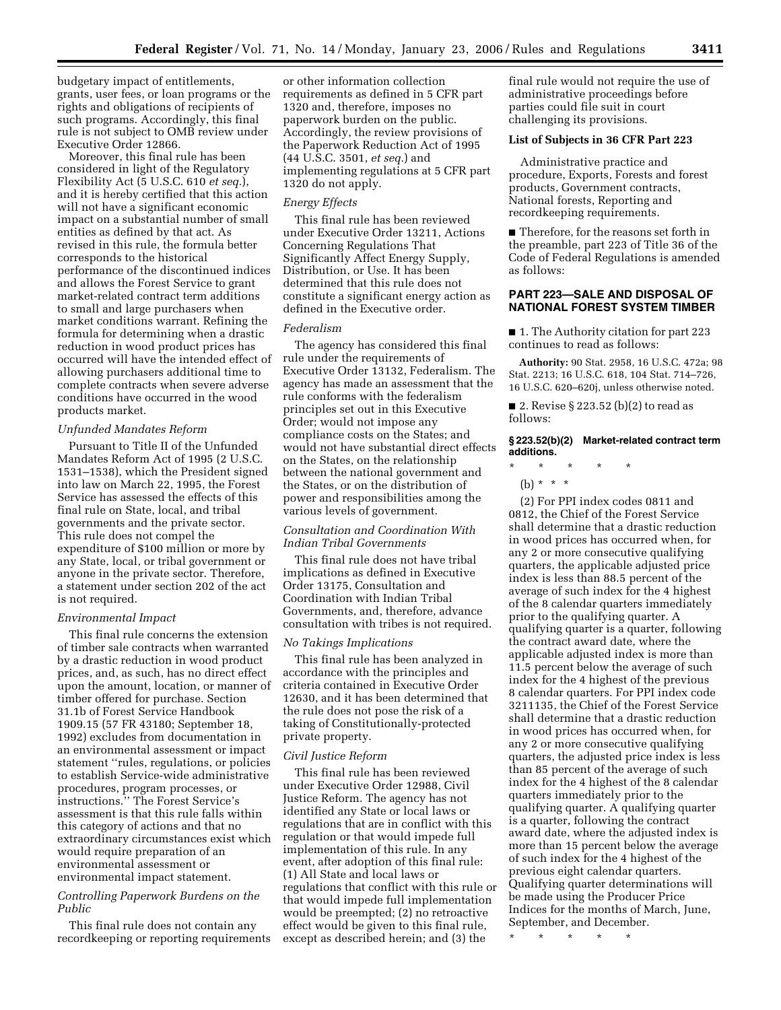budgetary impact of entitlements, grants, user fees, or loan programs or the rights and obligations of recipients of such programs. Accordingly, this final rule is not subject to OMB review under Executive Order 12866.

Moreover, this final rule has been considered in light of the Regulatory Flexibility Act (5 U.S.C. 610 *et seq.*), and it is hereby certified that this action will not have a significant economic impact on a substantial number of small entities as defined by that act. As revised in this rule, the formula better corresponds to the historical performance of the discontinued indices and allows the Forest Service to grant market-related contract term additions to small and large purchasers when market conditions warrant. Refining the formula for determining when a drastic reduction in wood product prices has occurred will have the intended effect of allowing purchasers additional time to complete contracts when severe adverse conditions have occurred in the wood products market.

#### *Unfunded Mandates Reform*

Pursuant to Title II of the Unfunded Mandates Reform Act of 1995 (2 U.S.C. 1531–1538), which the President signed into law on March 22, 1995, the Forest Service has assessed the effects of this final rule on State, local, and tribal governments and the private sector. This rule does not compel the expenditure of \$100 million or more by any State, local, or tribal government or anyone in the private sector. Therefore, a statement under section 202 of the act is not required.

#### *Environmental Impact*

This final rule concerns the extension of timber sale contracts when warranted by a drastic reduction in wood product prices, and, as such, has no direct effect upon the amount, location, or manner of timber offered for purchase. Section 31.1b of Forest Service Handbook 1909.15 (57 FR 43180; September 18, 1992) excludes from documentation in an environmental assessment or impact statement ''rules, regulations, or policies to establish Service-wide administrative procedures, program processes, or instructions.'' The Forest Service's assessment is that this rule falls within this category of actions and that no extraordinary circumstances exist which would require preparation of an environmental assessment or environmental impact statement.

# *Controlling Paperwork Burdens on the Public*

This final rule does not contain any recordkeeping or reporting requirements

or other information collection requirements as defined in 5 CFR part 1320 and, therefore, imposes no paperwork burden on the public. Accordingly, the review provisions of the Paperwork Reduction Act of 1995 (44 U.S.C. 3501, *et seq.*) and implementing regulations at 5 CFR part 1320 do not apply.

## *Energy Effects*

This final rule has been reviewed under Executive Order 13211, Actions Concerning Regulations That Significantly Affect Energy Supply, Distribution, or Use. It has been determined that this rule does not constitute a significant energy action as defined in the Executive order.

## *Federalism*

The agency has considered this final rule under the requirements of Executive Order 13132, Federalism. The agency has made an assessment that the rule conforms with the federalism principles set out in this Executive Order; would not impose any compliance costs on the States; and would not have substantial direct effects on the States, on the relationship between the national government and the States, or on the distribution of power and responsibilities among the various levels of government.

# *Consultation and Coordination With Indian Tribal Governments*

This final rule does not have tribal implications as defined in Executive Order 13175, Consultation and Coordination with Indian Tribal Governments, and, therefore, advance consultation with tribes is not required.

## *No Takings Implications*

This final rule has been analyzed in accordance with the principles and criteria contained in Executive Order 12630, and it has been determined that the rule does not pose the risk of a taking of Constitutionally-protected private property.

#### *Civil Justice Reform*

This final rule has been reviewed under Executive Order 12988, Civil Justice Reform. The agency has not identified any State or local laws or regulations that are in conflict with this regulation or that would impede full implementation of this rule. In any event, after adoption of this final rule: (1) All State and local laws or regulations that conflict with this rule or that would impede full implementation would be preempted; (2) no retroactive effect would be given to this final rule, except as described herein; and (3) the

final rule would not require the use of administrative proceedings before parties could file suit in court challenging its provisions.

### **List of Subjects in 36 CFR Part 223**

Administrative practice and procedure, Exports, Forests and forest products, Government contracts, National forests, Reporting and recordkeeping requirements.

■ Therefore, for the reasons set forth in the preamble, part 223 of Title 36 of the Code of Federal Regulations is amended as follows:

# **PART 223—SALE AND DISPOSAL OF NATIONAL FOREST SYSTEM TIMBER**

■ 1. The Authority citation for part 223 continues to read as follows:

**Authority:** 90 Stat. 2958, 16 U.S.C. 472a; 98 Stat. 2213; 16 U.S.C. 618, 104 Stat. 714–726, 16 U.S.C. 620–620j, unless otherwise noted.

■ 2. Revise § 223.52 (b)(2) to read as follows:

## **§ 223.52(b)(2) Market-related contract term additions.**

- \* \* \* \* \*
	- (b) \* \* \*

(2) For PPI index codes 0811 and 0812, the Chief of the Forest Service shall determine that a drastic reduction in wood prices has occurred when, for any 2 or more consecutive qualifying quarters, the applicable adjusted price index is less than 88.5 percent of the average of such index for the 4 highest of the 8 calendar quarters immediately prior to the qualifying quarter. A qualifying quarter is a quarter, following the contract award date, where the applicable adjusted index is more than 11.5 percent below the average of such index for the 4 highest of the previous 8 calendar quarters. For PPI index code 3211135, the Chief of the Forest Service shall determine that a drastic reduction in wood prices has occurred when, for any 2 or more consecutive qualifying quarters, the adjusted price index is less than 85 percent of the average of such index for the 4 highest of the 8 calendar quarters immediately prior to the qualifying quarter. A qualifying quarter is a quarter, following the contract award date, where the adjusted index is more than 15 percent below the average of such index for the 4 highest of the previous eight calendar quarters. Qualifying quarter determinations will be made using the Producer Price Indices for the months of March, June, September, and December.

\* \* \* \* \*